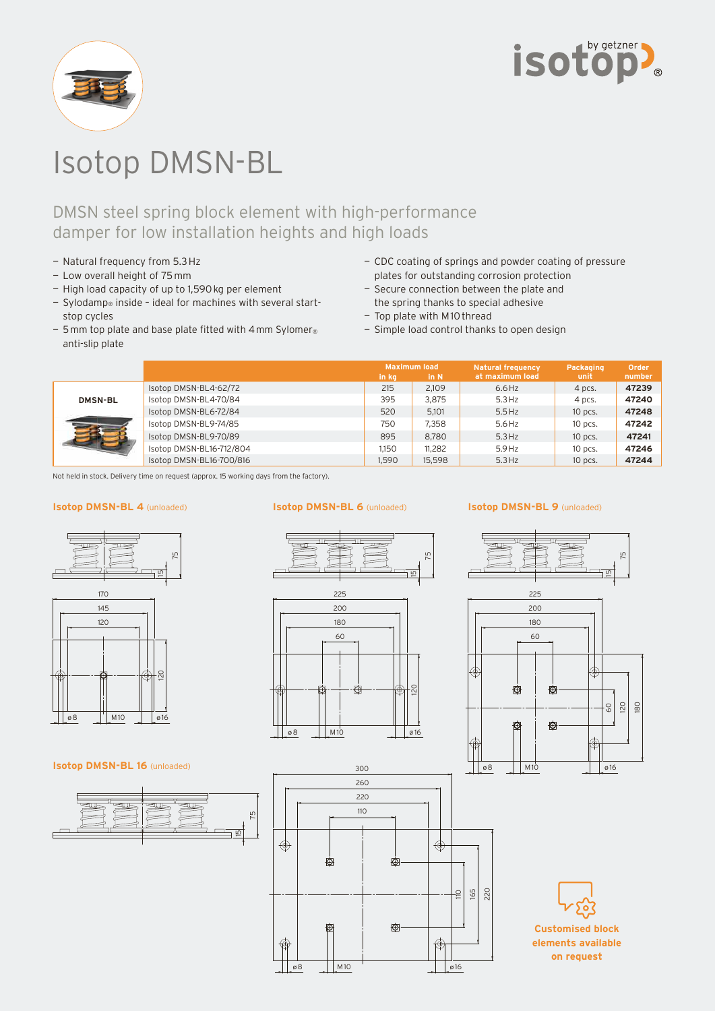



# Isotop DMSN-BL

## DMSN steel spring block element with high-performance damper for low installation heights and high loads

- Natural frequency from 5.3 Hz
- Low overall height of 75 mm
- High load capacity of up to 1,590 kg per element
- Sylodamp® inside ideal for machines with several startstop cycles
- $-5$  mm top plate and base plate fitted with 4 mm Sylomer® anti-slip plate
- CDC coating of springs and powder coating of pressure plates for outstanding corrosion protection
- Secure connection between the plate and the spring thanks to special adhesive
- Top plate with M 10 thread
- Simple load control thanks to open design

|                |                          | in ka | <b>Maximum load</b><br>in N | <b>Natural frequency</b><br>at maximum load | Packaging<br>unit | Order<br>number |
|----------------|--------------------------|-------|-----------------------------|---------------------------------------------|-------------------|-----------------|
| <b>DMSN-BL</b> | Isotop DMSN-BL4-62/72    | 215   | 2,109                       | $6.6$ Hz                                    | 4 pcs.            | 47239           |
|                | Isotop DMSN-BL4-70/84    | 395   | 3,875                       | $5.3$ Hz                                    | 4 pcs.            | 47240           |
|                | Isotop DMSN-BL6-72/84    | 520   | 5.101                       | $5.5$ Hz                                    | $10$ pcs.         | 47248           |
|                | Isotop DMSN-BL9-74/85    | 750   | 7.358                       | 5.6 Hz                                      | $10$ pcs.         | 47242           |
|                | Isotop DMSN-BL9-70/89    | 895   | 8.780                       | $5.3$ Hz                                    | $10$ pcs.         | 47241           |
|                | Isotop DMSN-BL16-712/804 | 1.150 | 11.282                      | $5.9$ Hz                                    | $10$ pcs.         | 47246           |
|                | Isotop DMSN-BL16-700/816 | 1.590 | 15.598                      | $5.3$ Hz                                    | 10 pcs.           | 47244           |

Not held in stock. Delivery time on request (approx. 15 working days from the factory).

#### **Isotop DMSN-BL 4** (unloaded) **Isotop DMSN-BL 6** (unloaded)